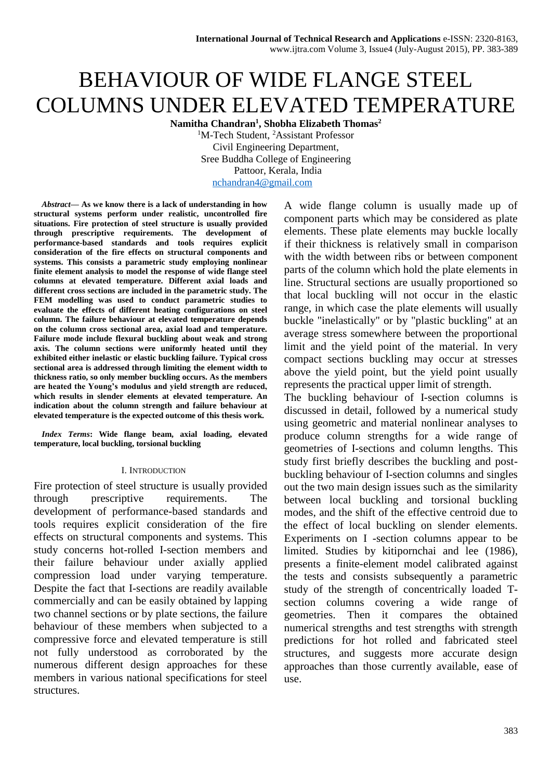# BEHAVIOUR OF WIDE FLANGE STEEL COLUMNS UNDER ELEVATED TEMPERATURE

**Namitha Chandran<sup>1</sup> , Shobha Elizabeth Thomas<sup>2</sup>**

<sup>1</sup>M-Tech Student, <sup>2</sup>Assistant Professor Civil Engineering Department, Sree Buddha College of Engineering Pattoor, Kerala, India [nchandran4@gmail.com](mailto:nchandran4@gmail.com)

*Abstract***— As we know there is a lack of understanding in how structural systems perform under realistic, uncontrolled fire situations. Fire protection of steel structure is usually provided through prescriptive requirements. The development of performance-based standards and tools requires explicit consideration of the fire effects on structural components and systems. This consists a parametric study employing nonlinear finite element analysis to model the response of wide flange steel columns at elevated temperature. Different axial loads and different cross sections are included in the parametric study. The FEM modelling was used to conduct parametric studies to evaluate the effects of different heating configurations on steel column. The failure behaviour at elevated temperature depends on the column cross sectional area, axial load and temperature. Failure mode include flexural buckling about weak and strong axis. The column sections were uniformly heated until they exhibited either inelastic or elastic buckling failure. Typical cross sectional area is addressed through limiting the element width to thickness ratio, so only member buckling occurs. As the members are heated the Young's modulus and yield strength are reduced, which results in slender elements at elevated temperature. An indication about the column strength and failure behaviour at elevated temperature is the expected outcome of this thesis work.**

*Index Terms***: Wide flange beam, axial loading, elevated temperature, local buckling, torsional buckling**

#### I. INTRODUCTION

Fire protection of steel structure is usually provided through prescriptive requirements. The development of performance-based standards and tools requires explicit consideration of the fire effects on structural components and systems. This study concerns hot-rolled I-section members and their failure behaviour under axially applied compression load under varying temperature. Despite the fact that I-sections are readily available commercially and can be easily obtained by lapping two channel sections or by plate sections, the failure behaviour of these members when subjected to a compressive force and elevated temperature is still not fully understood as corroborated by the numerous different design approaches for these members in various national specifications for steel structures.

A wide flange column is usually made up of component parts which may be considered as plate elements. These plate elements may buckle locally if their thickness is relatively small in comparison with the width between ribs or between component parts of the column which hold the plate elements in line. Structural sections are usually proportioned so that local buckling will not occur in the elastic range, in which case the plate elements will usually buckle "inelastically" or by "plastic buckling" at an average stress somewhere between the proportional limit and the yield point of the material. In very compact sections buckling may occur at stresses above the yield point, but the yield point usually represents the practical upper limit of strength.

The buckling behaviour of I-section columns is discussed in detail, followed by a numerical study using geometric and material nonlinear analyses to produce column strengths for a wide range of geometries of I-sections and column lengths. This study first briefly describes the buckling and postbuckling behaviour of I-section columns and singles out the two main design issues such as the similarity between local buckling and torsional buckling modes, and the shift of the effective centroid due to the effect of local buckling on slender elements. Experiments on I -section columns appear to be limited. Studies by kitipornchai and lee (1986), presents a finite-element model calibrated against the tests and consists subsequently a parametric study of the strength of concentrically loaded Tsection columns covering a wide range of geometries. Then it compares the obtained numerical strengths and test strengths with strength predictions for hot rolled and fabricated steel structures, and suggests more accurate design approaches than those currently available, ease of use.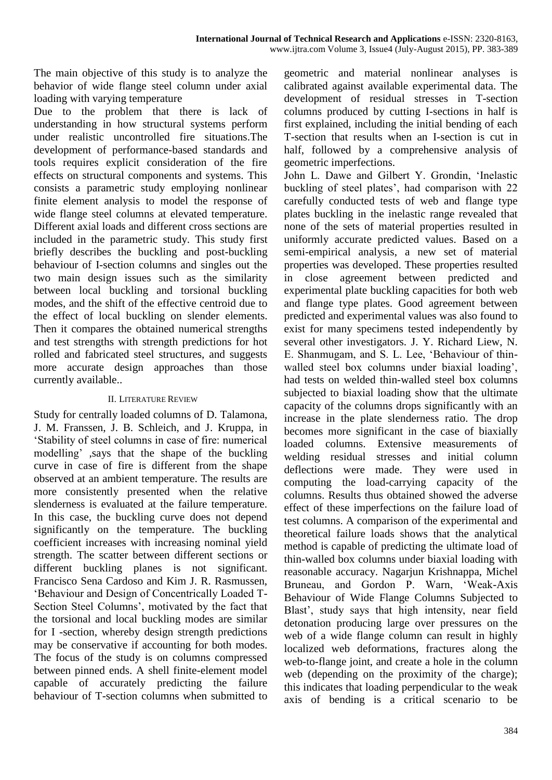The main objective of this study is to analyze the behavior of wide flange steel column under axial loading with varying temperature

Due to the problem that there is lack of understanding in how structural systems perform under realistic uncontrolled fire situations.The development of performance-based standards and tools requires explicit consideration of the fire effects on structural components and systems. This consists a parametric study employing nonlinear finite element analysis to model the response of wide flange steel columns at elevated temperature. Different axial loads and different cross sections are included in the parametric study. This study first briefly describes the buckling and post-buckling behaviour of I-section columns and singles out the two main design issues such as the similarity between local buckling and torsional buckling modes, and the shift of the effective centroid due to the effect of local buckling on slender elements. Then it compares the obtained numerical strengths and test strengths with strength predictions for hot rolled and fabricated steel structures, and suggests more accurate design approaches than those currently available..

## II. LITERATURE REVIEW

Study for centrally loaded columns of D. Talamona, J. M. Franssen, J. B. Schleich, and J. Kruppa, in 'Stability of steel columns in case of fire: numerical modelling' ,says that the shape of the buckling curve in case of fire is different from the shape observed at an ambient temperature. The results are more consistently presented when the relative slenderness is evaluated at the failure temperature. In this case, the buckling curve does not depend significantly on the temperature. The buckling coefficient increases with increasing nominal yield strength. The scatter between different sections or different buckling planes is not significant. Francisco Sena Cardoso and Kim J. R. Rasmussen, 'Behaviour and Design of Concentrically Loaded T-Section Steel Columns', motivated by the fact that the torsional and local buckling modes are similar for I -section, whereby design strength predictions may be conservative if accounting for both modes. The focus of the study is on columns compressed between pinned ends. A shell finite-element model capable of accurately predicting the failure behaviour of T-section columns when submitted to

geometric and material nonlinear analyses is calibrated against available experimental data. The development of residual stresses in T-section columns produced by cutting I-sections in half is first explained, including the initial bending of each T-section that results when an I-section is cut in half, followed by a comprehensive analysis of geometric imperfections.

John L. Dawe and Gilbert Y. Grondin, 'Inelastic buckling of steel plates', had comparison with 22 carefully conducted tests of web and flange type plates buckling in the inelastic range revealed that none of the sets of material properties resulted in uniformly accurate predicted values. Based on a semi-empirical analysis, a new set of material properties was developed. These properties resulted in close agreement between predicted and experimental plate buckling capacities for both web and flange type plates. Good agreement between predicted and experimental values was also found to exist for many specimens tested independently by several other investigators. J. Y. Richard Liew, N. E. Shanmugam, and S. L. Lee, 'Behaviour of thinwalled steel box columns under biaxial loading', had tests on welded thin-walled steel box columns subjected to biaxial loading show that the ultimate capacity of the columns drops significantly with an increase in the plate slenderness ratio. The drop becomes more significant in the case of biaxially loaded columns. Extensive measurements of welding residual stresses and initial column deflections were made. They were used in computing the load-carrying capacity of the columns. Results thus obtained showed the adverse effect of these imperfections on the failure load of test columns. A comparison of the experimental and theoretical failure loads shows that the analytical method is capable of predicting the ultimate load of thin-walled box columns under biaxial loading with reasonable accuracy. Nagarjun Krishnappa, Michel Bruneau, and Gordon P. Warn, 'Weak-Axis Behaviour of Wide Flange Columns Subjected to Blast', study says that high intensity, near field detonation producing large over pressures on the web of a wide flange column can result in highly localized web deformations, fractures along the web-to-flange joint, and create a hole in the column web (depending on the proximity of the charge); this indicates that loading perpendicular to the weak axis of bending is a critical scenario to be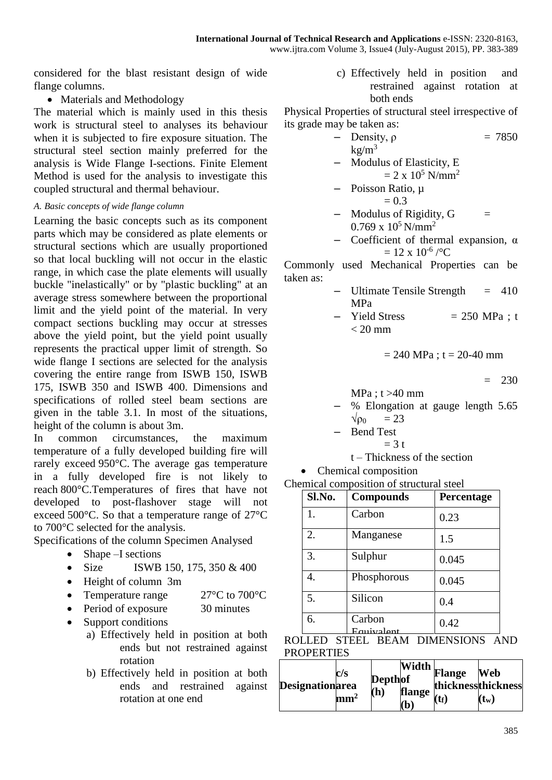considered for the blast resistant design of wide flange columns.

• Materials and Methodology

The material which is mainly used in this thesis work is structural steel to analyses its behaviour when it is subjected to fire exposure situation. The structural steel section mainly preferred for the analysis is Wide Flange I-sections. Finite Element Method is used for the analysis to investigate this coupled structural and thermal behaviour.

#### *A. Basic concepts of wide flange column*

Learning the basic concepts such as its component parts which may be considered as plate elements or structural sections which are usually proportioned so that local buckling will not occur in the elastic range, in which case the plate elements will usually buckle "inelastically" or by "plastic buckling" at an average stress somewhere between the proportional limit and the yield point of the material. In very compact sections buckling may occur at stresses above the yield point, but the yield point usually represents the practical upper limit of strength. So wide flange I sections are selected for the analysis covering the entire range from ISWB 150, ISWB 175, ISWB 350 and ISWB 400. Dimensions and specifications of rolled steel beam sections are given in the table 3.1. In most of the situations, height of the column is about 3m.

In common circumstances, the maximum temperature of a fully developed building fire will rarely exceed 950°C. The average gas temperature in a fully developed fire is not likely to reach 800°C.Temperatures of fires that have not developed to post-flashover stage will not exceed 500°C. So that a temperature range of 27°C to 700°C selected for the analysis.

Specifications of the column Specimen Analysed

- $\bullet$  Shape –I sections
- Size ISWB 150, 175, 350  $& 400$
- Height of column 3m
- Temperature range 27°C to 700°C
- Period of exposure 30 minutes
- Support conditions
	- a) Effectively held in position at both ends but not restrained against rotation
	- b) Effectively held in position at both ends and restrained against rotation at one end

c) Effectively held in position and restrained against rotation at both ends

Physical Properties of structural steel irrespective of its grade may be taken as:

- $-$  Density, ρ = 7850  $kg/m<sup>3</sup>$ – Modulus of Elasticity, E  $= 2 \times 10^5$  N/mm<sup>2</sup> Poisson Ratio, μ  $= 0.3$ 
	- $-$  Modulus of Rigidity,  $G =$  $0.769 \times 10^5$  N/mm<sup>2</sup>
	- Coefficient of thermal expansion, α  $= 12 \times 10^{-6}$  / $\degree$ C

Commonly used Mechanical Properties can be taken as:

- $-$  Ultimate Tensile Strength  $= 410$ MPa
- Yield Stress  $= 250 \text{ MPa}$ ; t  $< 20$  mm

$$
= 240
$$
 MPa ; t = 20-40 mm

$$
= 230
$$

 $MPa: t > 40$  mm

- % Elongation at gauge length 5.65  $\sqrt{p_0}$  = 23
	- Bend Test  $= 3$  t
		- t Thickness of the section

Chemical composition

Chemical composition of structural steel

| Sl.No. | <b>Compounds</b>        | Percentage |
|--------|-------------------------|------------|
| 1.     | Carbon                  | 0.23       |
| 2.     | Manganese               | 1.5        |
| 3.     | Sulphur                 | 0.045      |
| 4.     | Phosphorous             | 0.045      |
| 5.     | Silicon                 | 0.4        |
| 6.     | Carbon<br>$F$ anivalent | 0.42       |



|                        |                                 |                       |               | Width              |         |  |
|------------------------|---------------------------------|-----------------------|---------------|--------------------|---------|--|
| <b>Designationarea</b> | c/s<br>$\mathbf{m}\mathbf{m}^2$ | <b>Depthof</b><br>(h) |               | <b>Flange</b>      | Web     |  |
|                        |                                 |                       |               | thicknessthickness |         |  |
|                        |                                 |                       | <b>flange</b> | $(\mathbf{t_f})$   | $(t_w)$ |  |
|                        |                                 |                       | <b>b</b>      |                    |         |  |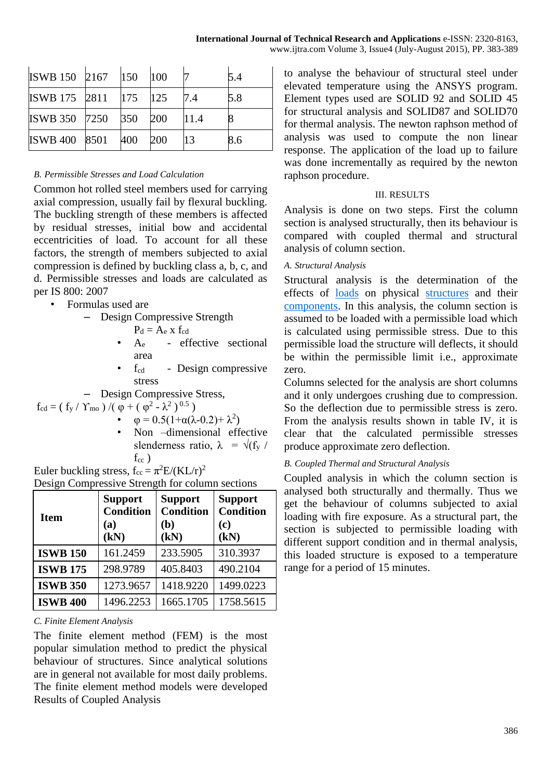| ISWB 150 2167 150     |     | 100 |      | 5.4 |
|-----------------------|-----|-----|------|-----|
| ISWB 175 2811 175 125 |     |     |      | 5.8 |
| ISWB 350 7250 350     |     | 200 | 11.4 |     |
| <b>ISWB 400 8501</b>  | 400 | 200 | 13   | 8.6 |

## *B. Permissible Stresses and Load Calculation*

Common hot rolled steel members used for carrying axial compression, usually fail by flexural buckling. The buckling strength of these members is affected by residual stresses, initial bow and accidental eccentricities of load. To account for all these factors, the strength of members subjected to axial compression is defined by buckling class a, b, c, and d. Permissible stresses and loads are calculated as per IS 800: 2007

- Formulas used are
	- Design Compressive Strength
		- $P_d = A_e$  x  $f_{cd}$
		- A<sup>e</sup> effective sectional area
		- f<sub>cd</sub> Design compressive stress
	- Design Compressive Stress,
- $f_{cd} = (f_y / Y_{mo}) / (φ + (φ<sup>2</sup> λ<sup>2</sup>)<sup>0.5</sup>)$ 
	- $\varphi = 0.5(1+\alpha(\lambda-0.2)+\lambda^2)$
	- Non –dimensional effective slenderness ratio,  $\lambda = \sqrt{f_y / g}$  $f_{cc}$ )

Euler buckling stress, 
$$
f_{\text{cc}} = \pi^2 E / (KL/r)^2
$$

Design Compressive Strength for column sections

| <b>Item</b>     | <b>Support</b><br><b>Condition</b><br>(a)<br>(kN) | <b>Support</b><br><b>Condition</b><br>(b)<br>(kN) | <b>Support</b><br><b>Condition</b><br>(c)<br>(kN) |
|-----------------|---------------------------------------------------|---------------------------------------------------|---------------------------------------------------|
| <b>ISWB 150</b> | 161.2459                                          | 233.5905                                          | 310.3937                                          |
| <b>ISWB 175</b> | 298.9789                                          | 405.8403                                          | 490.2104                                          |
| <b>ISWB 350</b> | 1273.9657                                         | 1418.9220                                         | 1499.0223                                         |
| <b>ISWB 400</b> | 1496.2253                                         | 1665.1705                                         | 1758.5615                                         |

# *C. Finite Element Analysis*

The finite element method (FEM) is the most popular simulation method to predict the physical behaviour of structures. Since analytical solutions are in general not available for most daily problems. The finite element method models were developed Results of Coupled Analysis

to analyse the behaviour of structural steel under elevated temperature using the ANSYS program. Element types used are SOLID 92 and SOLID 45 for structural analysis and SOLID87 and SOLID70 for thermal analysis. The newton raphson method of analysis was used to compute the non linear response. The application of the load up to failure was done incrementally as required by the newton raphson procedure.

# III. RESULTS

Analysis is done on two steps. First the column section is analysed structurally, then its behaviour is compared with coupled thermal and structural analysis of column section.

# *A. Structural Analysis*

Structural analysis is the determination of the effects of [loads](https://en.wikipedia.org/wiki/Structural_load) on physical [structures](https://en.wikipedia.org/wiki/Structure) and their [components.](https://en.wikipedia.org/wiki/Structural_engineering#Structural_elements) In this analysis, the column section is assumed to be loaded with a permissible load which is calculated using permissible stress. Due to this permissible load the structure will deflects, it should be within the permissible limit i.e., approximate zero.

Columns selected for the analysis are short columns and it only undergoes crushing due to compression. So the deflection due to permissible stress is zero. From the analysis results shown in table IV, it is clear that the calculated permissible stresses produce approximate zero deflection.

# *B. Coupled Thermal and Structural Analysis*

Coupled analysis in which the column section is analysed both structurally and thermally. Thus we get the behaviour of columns subjected to axial loading with fire exposure. As a structural part, the section is subjected to permissible loading with different support condition and in thermal analysis, this loaded structure is exposed to a temperature range for a period of 15 minutes.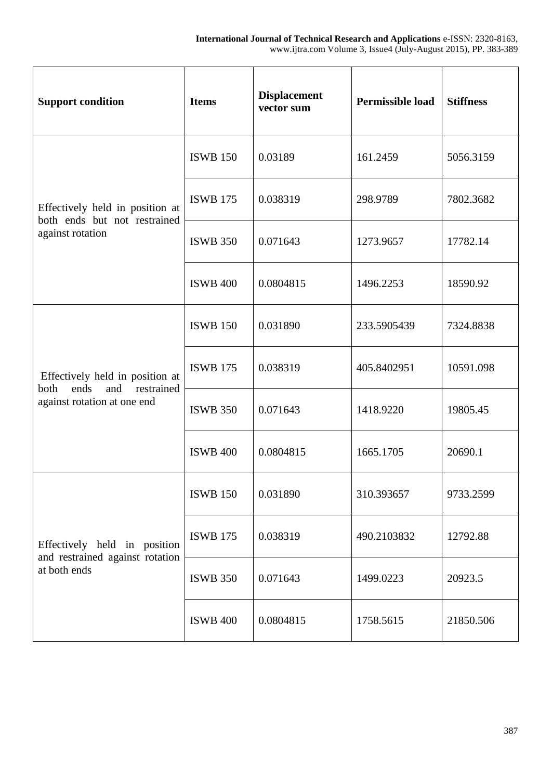| <b>Support condition</b>                                             | <b>Items</b>    | <b>Displacement</b><br>vector sum | <b>Permissible load</b> | <b>Stiffness</b> |
|----------------------------------------------------------------------|-----------------|-----------------------------------|-------------------------|------------------|
|                                                                      | <b>ISWB 150</b> | 0.03189                           | 161.2459                | 5056.3159        |
| Effectively held in position at<br>both ends but not restrained      | <b>ISWB 175</b> | 0.038319                          | 298.9789                | 7802.3682        |
| against rotation                                                     | <b>ISWB 350</b> | 0.071643                          | 1273.9657               | 17782.14         |
|                                                                      | <b>ISWB 400</b> | 0.0804815                         | 1496.2253               | 18590.92         |
|                                                                      | <b>ISWB 150</b> | 0.031890                          | 233.5905439             | 7324.8838        |
| Effectively held in position at<br>restrained<br>ends<br>and<br>both | <b>ISWB 175</b> | 0.038319                          | 405.8402951             | 10591.098        |
| against rotation at one end                                          | <b>ISWB 350</b> | 0.071643                          | 1418.9220               | 19805.45         |
|                                                                      | <b>ISWB 400</b> | 0.0804815                         | 1665.1705               | 20690.1          |
|                                                                      | <b>ISWB 150</b> | 0.031890                          | 310.393657              | 9733.2599        |
| Effectively held in position                                         | <b>ISWB 175</b> | 0.038319                          | 490.2103832             | 12792.88         |
| and restrained against rotation<br>at both ends                      | <b>ISWB 350</b> | 0.071643                          | 1499.0223               | 20923.5          |
|                                                                      | <b>ISWB 400</b> | 0.0804815                         | 1758.5615               | 21850.506        |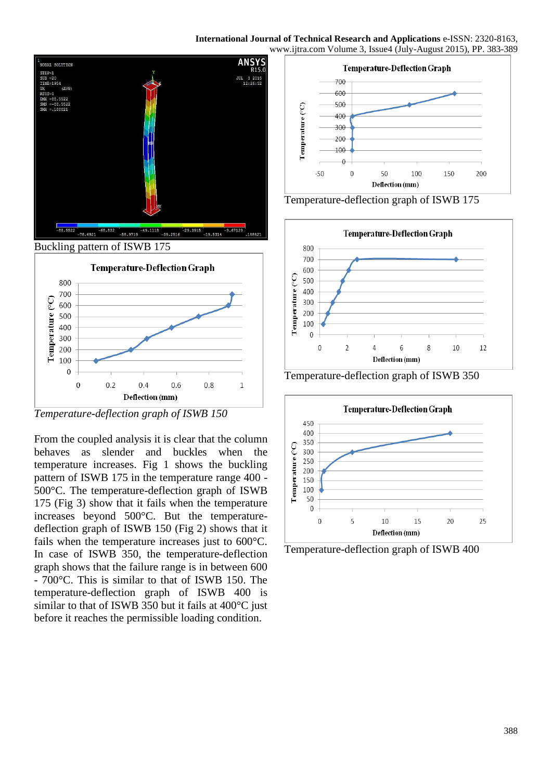

*Temperature-deflection graph of ISWB 150*

From the coupled analysis it is clear that the column behaves as slender and buckles when the temperature increases. Fig 1 shows the buckling pattern of ISWB 175 in the temperature range 400 - 500°C. The temperature-deflection graph of ISWB 175 (Fig 3) show that it fails when the temperature increases beyond 500°C. But the temperaturedeflection graph of ISWB 150 (Fig 2) shows that it fails when the temperature increases just to 600°C. In case of ISWB 350, the temperature-deflection graph shows that the failure range is in between 600 - 700°C. This is similar to that of ISWB 150. The temperature-deflection graph of ISWB 400 is similar to that of ISWB 350 but it fails at 400°C just before it reaches the permissible loading condition.



Temperature-deflection graph of ISWB 175



Temperature-deflection graph of ISWB 350



Temperature-deflection graph of ISWB 400